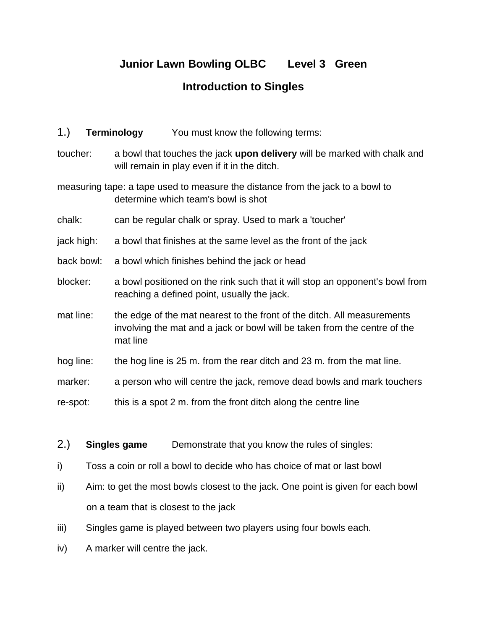# **Junior Lawn Bowling OLBC Level 3 Green Introduction to Singles**

- 1.) **Terminology** You must know the following terms:
- toucher: a bowl that touches the jack **upon delivery** will be marked with chalk and will remain in play even if it in the ditch.
- measuring tape: a tape used to measure the distance from the jack to a bowl to determine which team's bowl is shot
- chalk: can be regular chalk or spray. Used to mark a 'toucher'
- jack high: a bowl that finishes at the same level as the front of the jack
- back bowl: a bowl which finishes behind the jack or head
- blocker: a bowl positioned on the rink such that it will stop an opponent's bowl from reaching a defined point, usually the jack.
- mat line: the edge of the mat nearest to the front of the ditch. All measurements involving the mat and a jack or bowl will be taken from the centre of the mat line
- hog line: the hog line is 25 m. from the rear ditch and 23 m. from the mat line.
- marker: a person who will centre the jack, remove dead bowls and mark touchers
- re-spot: this is a spot 2 m. from the front ditch along the centre line
- 2.) **Singles game** Demonstrate that you know the rules of singles:
- i) Toss a coin or roll a bowl to decide who has choice of mat or last bowl
- ii) Aim: to get the most bowls closest to the jack. One point is given for each bowl on a team that is closest to the jack
- iii) Singles game is played between two players using four bowls each.
- iv) A marker will centre the jack.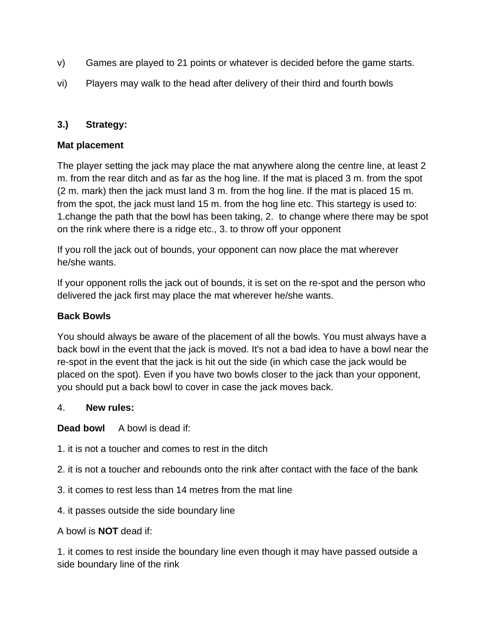- v) Games are played to 21 points or whatever is decided before the game starts.
- vi) Players may walk to the head after delivery of their third and fourth bowls

### **3.) Strategy:**

#### **Mat placement**

The player setting the jack may place the mat anywhere along the centre line, at least 2 m. from the rear ditch and as far as the hog line. If the mat is placed 3 m. from the spot (2 m. mark) then the jack must land 3 m. from the hog line. If the mat is placed 15 m. from the spot, the jack must land 15 m. from the hog line etc. This startegy is used to: 1.change the path that the bowl has been taking, 2. to change where there may be spot on the rink where there is a ridge etc., 3. to throw off your opponent

If you roll the jack out of bounds, your opponent can now place the mat wherever he/she wants.

If your opponent rolls the jack out of bounds, it is set on the re-spot and the person who delivered the jack first may place the mat wherever he/she wants.

#### **Back Bowls**

You should always be aware of the placement of all the bowls. You must always have a back bowl in the event that the jack is moved. It's not a bad idea to have a bowl near the re-spot in the event that the jack is hit out the side (in which case the jack would be placed on the spot). Even if you have two bowls closer to the jack than your opponent, you should put a back bowl to cover in case the jack moves back.

#### 4. **New rules:**

**Dead bowl** A bowl is dead if:

- 1. it is not a toucher and comes to rest in the ditch
- 2. it is not a toucher and rebounds onto the rink after contact with the face of the bank
- 3. it comes to rest less than 14 metres from the mat line
- 4. it passes outside the side boundary line
- A bowl is **NOT** dead if:

1. it comes to rest inside the boundary line even though it may have passed outside a side boundary line of the rink